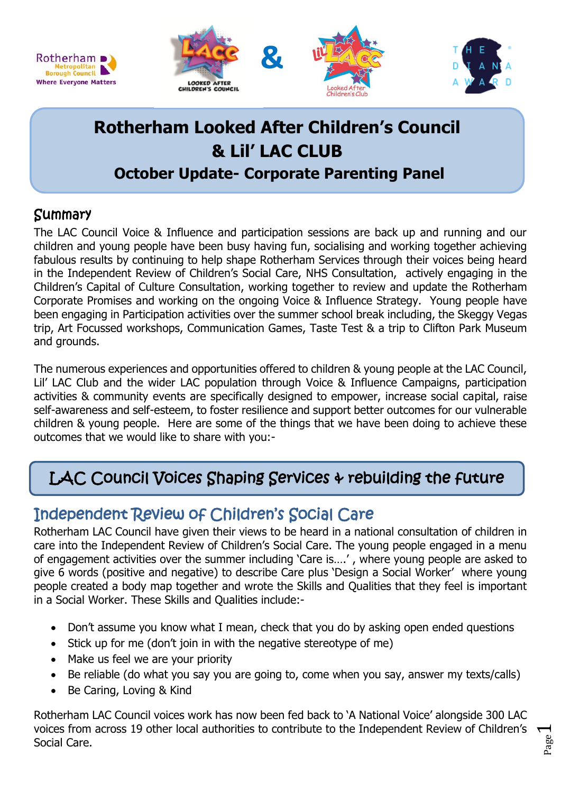

# **Rotherham Looked After Children's Council & Lil' LAC CLUB October Update- Corporate Parenting Panel**

### **Summary**

Rotherham D Metropolitan<br>Borough Council **Where Everyone Matters** 

The LAC Council Voice & Influence and participation sessions are back up and running and our children and young people have been busy having fun, socialising and working together achieving fabulous results by continuing to help shape Rotherham Services through their voices being heard in the Independent Review of Children's Social Care, NHS Consultation, actively engaging in the Children's Capital of Culture Consultation, working together to review and update the Rotherham Corporate Promises and working on the ongoing Voice & Influence Strategy. Young people have been engaging in Participation activities over the summer school break including, the Skeggy Vegas trip, Art Focussed workshops, Communication Games, Taste Test & a trip to Clifton Park Museum and grounds.

The numerous experiences and opportunities offered to children & young people at the LAC Council, Lil' LAC Club and the wider LAC population through Voice & Influence Campaigns, participation activities & community events are specifically designed to empower, increase social capital, raise self-awareness and self-esteem, to foster resilience and support better outcomes for our vulnerable children & young people. Here are some of the things that we have been doing to achieve these outcomes that we would like to share with you:-

# LAC Council Voices Shaping Services & rebuilding the future

## Independent Review of Children's Social Care

Rotherham LAC Council have given their views to be heard in a national consultation of children in care into the Independent Review of Children's Social Care. The young people engaged in a menu of engagement activities over the summer including 'Care is….' , where young people are asked to give 6 words (positive and negative) to describe Care plus 'Design a Social Worker' where young people created a body map together and wrote the Skills and Qualities that they feel is important in a Social Worker. These Skills and Qualities include:-

- Don't assume you know what I mean, check that you do by asking open ended questions
- Stick up for me (don't join in with the negative stereotype of me)
- Make us feel we are your priority
- Be reliable (do what you say you are going to, come when you say, answer my texts/calls)
- Be Caring, Loving & Kind

Rotherham LAC Council voices work has now been fed back to 'A National Voice' alongside 300 LAC voices from across 19 other local authorities to contribute to the Independent Review of Children's Social Care.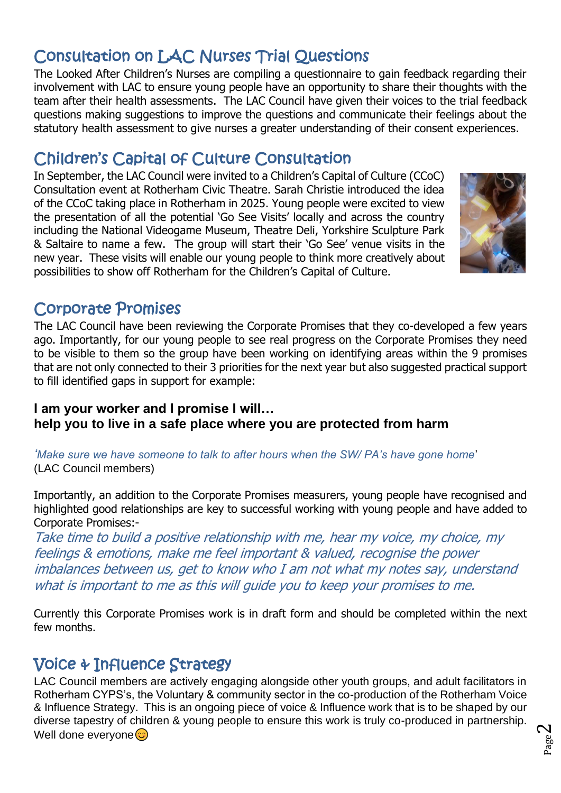# Consultation on LAC Nurses Trial Questions

The Looked After Children's Nurses are compiling a questionnaire to gain feedback regarding their involvement with LAC to ensure young people have an opportunity to share their thoughts with the team after their health assessments. The LAC Council have given their voices to the trial feedback questions making suggestions to improve the questions and communicate their feelings about the statutory health assessment to give nurses a greater understanding of their consent experiences.

## Children's Capital of Culture Consultation

In September, the LAC Council were invited to a Children's Capital of Culture (CCoC) Consultation event at Rotherham Civic Theatre. Sarah Christie introduced the idea of the CCoC taking place in Rotherham in 2025. Young people were excited to view the presentation of all the potential 'Go See Visits' locally and across the country including the National Videogame Museum, Theatre Deli, Yorkshire Sculpture Park & Saltaire to name a few. The group will start their 'Go See' venue visits in the new year. These visits will enable our young people to think more creatively about possibilities to show off Rotherham for the Children's Capital of Culture.



## Corporate Promises

The LAC Council have been reviewing the Corporate Promises that they co-developed a few years ago. Importantly, for our young people to see real progress on the Corporate Promises they need to be visible to them so the group have been working on identifying areas within the 9 promises that are not only connected to their 3 priorities for the next year but also suggested practical support to fill identified gaps in support for example:

#### **I am your worker and I promise I will… help you to live in a safe place where you are protected from harm**

*'Make sure we have someone to talk to after hours when the SW/ PA's have gone home*' (LAC Council members)

Importantly, an addition to the Corporate Promises measurers, young people have recognised and highlighted good relationships are key to successful working with young people and have added to Corporate Promises:-

Take time to build a positive relationship with me, hear my voice, my choice, my feelings & emotions, make me feel important & valued, recognise the power imbalances between us, get to know who I am not what my notes say, understand what is important to me as this will guide you to keep your promises to me.

Currently this Corporate Promises work is in draft form and should be completed within the next few months.

## Voice & Influence Strategy

LAC Council members are actively engaging alongside other youth groups, and adult facilitators in Rotherham CYPS's, the Voluntary & community sector in the co-production of the Rotherham Voice & Influence Strategy. This is an ongoing piece of voice & Influence work that is to be shaped by our diverse tapestry of children & young people to ensure this work is truly co-produced in partnership. Well done everyone $\odot$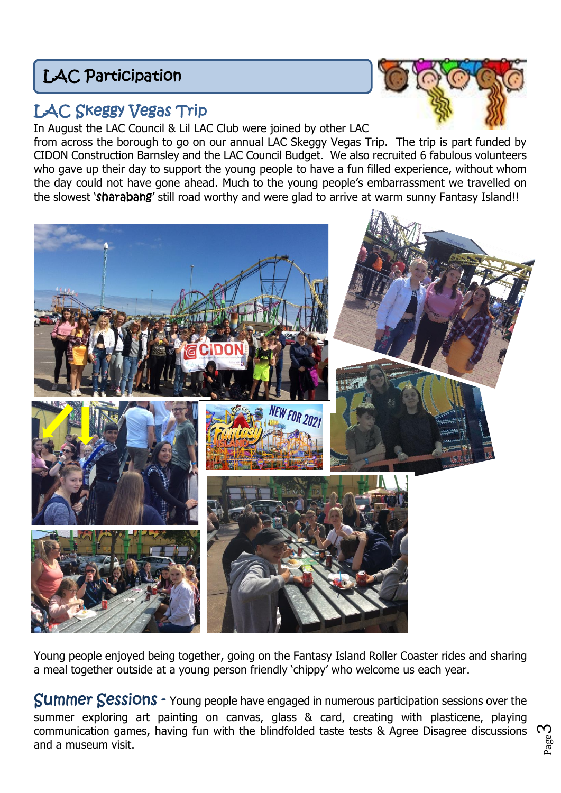# LAC Participation



## LAC Skeggy Vegas Trip

In August the LAC Council & Lil LAC Club were joined by other LAC

from across the borough to go on our annual LAC Skeggy Vegas Trip. The trip is part funded by CIDON Construction Barnsley and the LAC Council Budget. We also recruited 6 fabulous volunteers who gave up their day to support the young people to have a fun filled experience, without whom the day could not have gone ahead. Much to the young people's embarrassment we travelled on the slowest 'sharabang' still road worthy and were glad to arrive at warm sunny Fantasy Island!!



Young people enjoyed being together, going on the Fantasy Island Roller Coaster rides and sharing a meal together outside at a young person friendly 'chippy' who welcome us each year.

Summer Sessions - Young people have engaged in numerous participation sessions over the summer exploring art painting on canvas, glass & card, creating with plasticene, playing communication games, having fun with the blindfolded taste tests & Agree Disagree discussions and a museum visit.